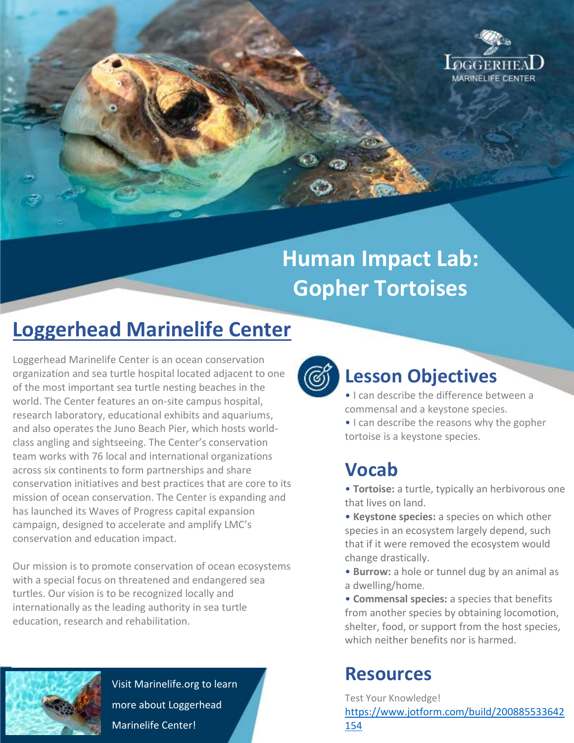

# **Human Impact Lab: Gopher Tortoises**

## **Loggerhead Marinelife Center**

Loggerhead Marinelife Center is an ocean conservation organization and sea turtle hospital located adjacent to one of the most important sea turtle nesting beaches in the world. The Center features an on-site campus hospital, research laboratory, educational exhibits and aquariums, and also operates the Juno Beach Pier, which hosts worldclass angling and sightseeing. The Center's conservation team works with 76 local and international organizations across six continents to form partnerships and share conservation initiatives and best practices that are core to its mission of ocean conservation. The Center is expanding and has launched its Waves of Progress capital expansion campaign, designed to accelerate and amplify LMC's conservation and education impact.

Our mission is to promote conservation of ocean ecosystems with a special focus on threatened and endangered sea turtles. Our vision is to be recognized locally and internationally as the leading authority in sea turtle education, research and rehabilitation.



Visit Marinelife.org to learn more about Loggerhead Marinelife Center!



### **Lesson Objectives**

- I can describe the difference between a commensal and a keystone species.
- I can describe the reasons why the gopher tortoise is a keystone species.

### **Vocab**

• **Tortoise:** a turtle, typically an herbivorous one that lives on land.

• **Keystone species:** a species on which other species in an ecosystem largely depend, such that if it were removed the ecosystem would change drastically.

• **Burrow:** a hole or tunnel dug by an animal as a dwelling/home.

• **Commensal species:** a species that benefits from another species by obtaining locomotion, shelter, food, or support from the host species, which neither benefits nor is harmed.

### **Resources**

Test Your Knowledge!

[https://www.jotform.com/build/200885533642](https://www.jotform.com/build/200885533642154) [154](https://www.jotform.com/build/200885533642154)